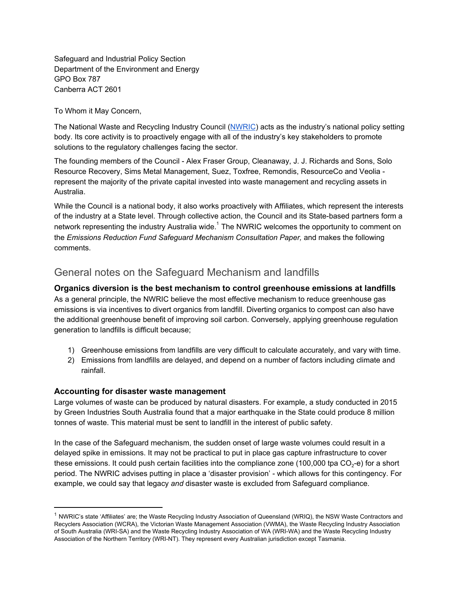Safeguard and Industrial Policy Section Department of the Environment and Energy GPO Box 787 Canberra ACT 2601

To Whom it May Concern,

The National Waste and Recycling Industry Council ([NWRIC\)](http://www.nwric.com.au/) acts as the industry's national policy setting body. Its core activity is to proactively engage with all of the industry's key stakeholders to promote solutions to the regulatory challenges facing the sector.

The founding members of the Council - Alex Fraser Group, Cleanaway, J. J. Richards and Sons, Solo Resource Recovery, Sims Metal Management, Suez, Toxfree, Remondis, ResourceCo and Veolia represent the majority of the private capital invested into waste management and recycling assets in Australia.

While the Council is a national body, it also works proactively with Affiliates, which represent the interests of the industry at a State level. Through collective action, the Council and its State-based partners form a network representing the industry Australia wide.<sup>1</sup> The NWRIC welcomes the opportunity to comment on the *Emissions Reduction Fund Safeguard Mechanism Consultation Paper,* and makes the following comments.

## General notes on the Safeguard Mechanism and landfills

**Organics diversion is the best mechanism to control greenhouse emissions at landfills**

As a general principle, the NWRIC believe the most effective mechanism to reduce greenhouse gas emissions is via incentives to divert organics from landfill. Diverting organics to compost can also have the additional greenhouse benefit of improving soil carbon. Conversely, applying greenhouse regulation generation to landfills is difficult because;

- 1) Greenhouse emissions from landfills are very difficult to calculate accurately, and vary with time.
- 2) Emissions from landfills are delayed, and depend on a number of factors including climate and rainfall.

## **Accounting for disaster waste management**

Large volumes of waste can be produced by natural disasters. For example, a study conducted in 2015 by Green Industries South Australia found that a major earthquake in the State could produce 8 million tonnes of waste. This material must be sent to landfill in the interest of public safety.

In the case of the Safeguard mechanism, the sudden onset of large waste volumes could result in a delayed spike in emissions. It may not be practical to put in place gas capture infrastructure to cover these emissions. It could push certain facilities into the compliance zone (100,000 tpa CO<sub>2</sub>-e) for a short period. The NWRIC advises putting in place a 'disaster provision' - which allows for this contingency. For example, we could say that legacy *and* disaster waste is excluded from Safeguard compliance.

<sup>&</sup>lt;sup>1</sup> NWRIC's state 'Affiliates' are; the Waste Recycling Industry Association of Queensland (WRIQ), the NSW Waste Contractors and Recyclers Association (WCRA), the Victorian Waste Management Association (VWMA), the Waste Recycling Industry Association of South Australia (WRI-SA) and the Waste Recycling Industry Association of WA (WRI-WA) and the Waste Recycling Industry Association of the Northern Territory (WRI-NT). They represent every Australian jurisdiction except Tasmania.